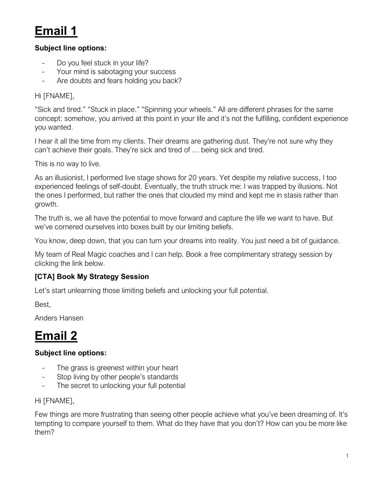# **Email 1**

#### **Subject line options:**

- Do you feel stuck in your life?
- Your mind is sabotaging your success
- Are doubts and fears holding you back?

#### Hi [FNAME],

"Sick and tired." "Stuck in place." "Spinning your wheels." All are different phrases for the same concept: somehow, you arrived at this point in your life and it's not the fulfilling, confident experience you wanted.

I hear it all the time from my clients. Their dreams are gathering dust. They're not sure why they can't achieve their goals. They're sick and tired of … being sick and tired.

This is no way to live.

As an illusionist, I performed live stage shows for 20 years. Yet despite my relative success, I too experienced feelings of self-doubt. Eventually, the truth struck me: I was trapped by illusions. Not the ones I performed, but rather the ones that clouded my mind and kept me in stasis rather than growth.

The truth is, we all have the potential to move forward and capture the life we want to have. But we've cornered ourselves into boxes built by our limiting beliefs.

You know, deep down, that you can turn your dreams into reality. You just need a bit of guidance.

My team of Real Magic coaches and I can help. Book a free complimentary strategy session by clicking the link below.

#### **[CTA] Book My Strategy Session**

Let's start unlearning those limiting beliefs and unlocking your full potential.

Best,

Anders Hansen

## **Email 2**

#### **Subject line options:**

- The grass is greenest within your heart
- Stop living by other people's standards
- The secret to unlocking your full potential

#### Hi [FNAME],

Few things are more frustrating than seeing other people achieve what you've been dreaming of. It's tempting to compare yourself to them. What do they have that you don't? How can you be more like them?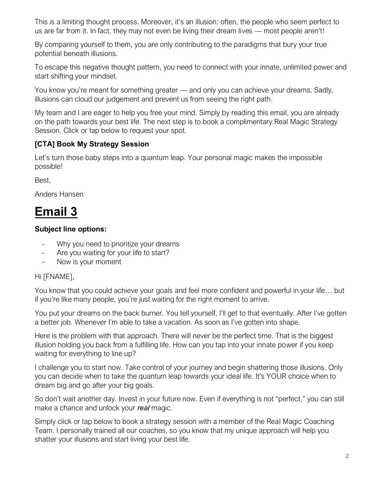This is a limiting thought process. Moreover, it's an illusion: often, the people who seem perfect to us are far from it. In fact, they may not even be living their dream lives — most people aren't!

By comparing yourself to them, you are only contributing to the paradigms that bury your true potential beneath illusions.

To escape this negative thought pattern, you need to connect with your innate, unlimited power and start shifting your mindset.

You know you're meant for something greater — and only you can achieve your dreams. Sadly, illusions can cloud our judgement and prevent us from seeing the right path.

My team and I are eager to help you free your mind. Simply by reading this email, you are already on the path towards your best life. The next step is to book a complimentary Real Magic Strategy Session. Click or tap below to request your spot.

#### **[CTA] Book My Strategy Session**

Let's turn those baby steps into a quantum leap. Your personal magic makes the impossible possible!

Best,

Anders Hansen

### **Email 3**

#### **Subject line options:**

- Why you need to prioritize your dreams
- Are you waiting for your life to start?
- Now is your moment

#### Hi [FNAME],

You know that you could achieve your goals and feel more confident and powerful in your life… but if you're like many people, you're just waiting for the right moment to arrive.

You put your dreams on the back burner. You tell yourself, I'll get to that eventually. After I've gotten a better job. Whenever I'm able to take a vacation. As soon as I've gotten into shape.

Here is the problem with that approach. There will never be the perfect time. That is the biggest illusion holding you back from a fulfilling life. How can you tap into your innate power if you keep waiting for everything to line up?

I challenge you to start now. Take control of your journey and begin shattering those illusions. Only you can decide when to take the quantum leap towards your ideal life. It's YOUR choice when to dream big and go after your big goals.

So don't wait another day. Invest in your future now. Even if everything is not "perfect," you can still make a chance and unlock your *real* magic.

Simply click or tap below to book a strategy session with a member of the Real Magic Coaching Team. I personally trained all our coaches, so you know that my unique approach will help you shatter your illusions and start living your best life.